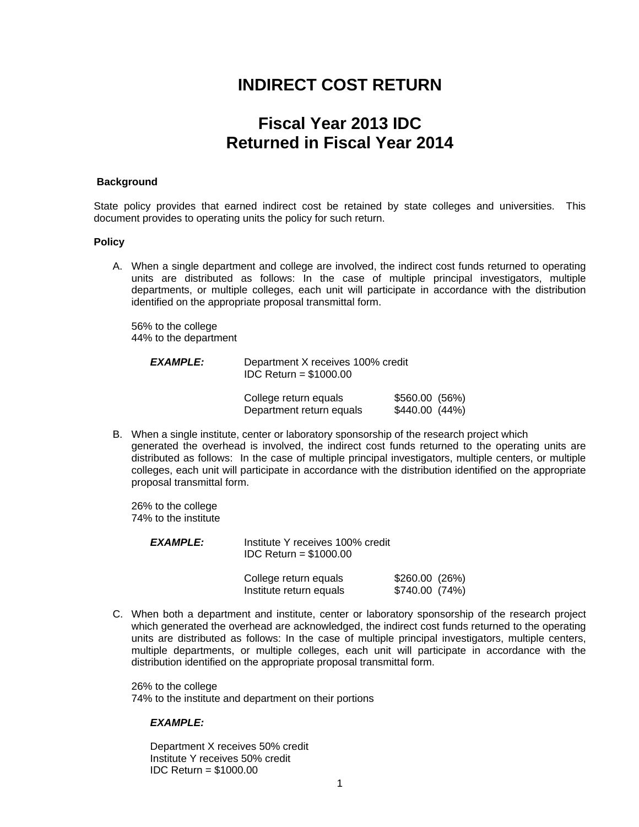## **INDIRECT COST RETURN**

# **Fiscal Year 2013 IDC Returned in Fiscal Year 2014**

#### **Background**

State policy provides that earned indirect cost be retained by state colleges and universities. This document provides to operating units the policy for such return.

#### **Policy**

A. When a single department and college are involved, the indirect cost funds returned to operating units are distributed as follows: In the case of multiple principal investigators, multiple departments, or multiple colleges, each unit will participate in accordance with the distribution identified on the appropriate proposal transmittal form.

 56% to the college 44% to the department

| <b>EXAMPLE:</b> | Department X receives 100% credit<br>$IDC$ Return = \$1000.00 |                                  |  |
|-----------------|---------------------------------------------------------------|----------------------------------|--|
|                 | College return equals<br>Department return equals             | $$560.00$ (56%)<br>\$440.00(44%) |  |

B. When a single institute, center or laboratory sponsorship of the research project which generated the overhead is involved, the indirect cost funds returned to the operating units are distributed as follows: In the case of multiple principal investigators, multiple centers, or multiple colleges, each unit will participate in accordance with the distribution identified on the appropriate proposal transmittal form.

 26% to the college 74% to the institute

| <i><b>EXAMPLE:</b></i> | Institute Y receives 100% credit<br>IDC Return = $$1000.00$ |                                 |  |
|------------------------|-------------------------------------------------------------|---------------------------------|--|
|                        | College return equals<br>Institute return equals            | \$260.00(26%)<br>\$740.00 (74%) |  |

C. When both a department and institute, center or laboratory sponsorship of the research project which generated the overhead are acknowledged, the indirect cost funds returned to the operating units are distributed as follows: In the case of multiple principal investigators, multiple centers, multiple departments, or multiple colleges, each unit will participate in accordance with the distribution identified on the appropriate proposal transmittal form.

 26% to the college 74% to the institute and department on their portions

#### *EXAMPLE:*

Department X receives 50% credit Institute Y receives 50% credit IDC Return = \$1000.00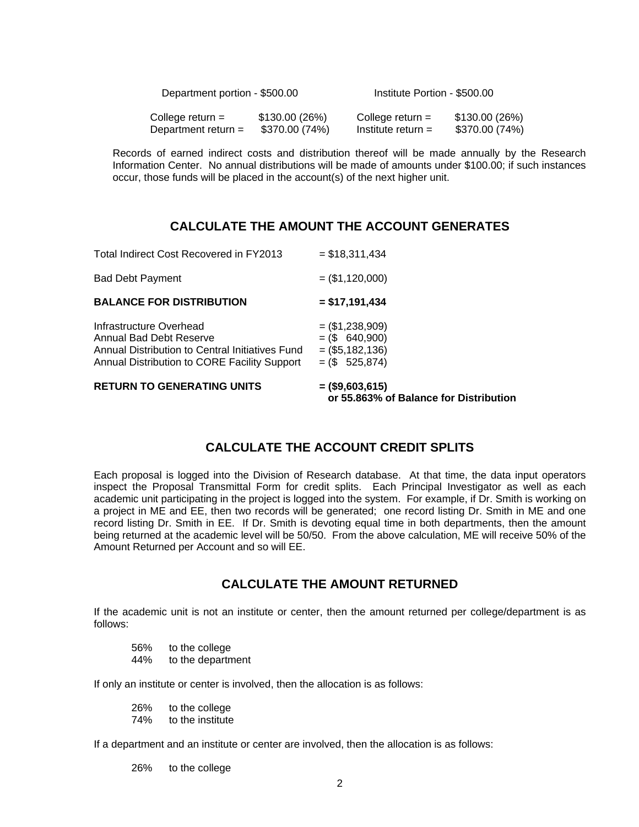| Department portion - \$500.00 |                | Institute Portion - \$500.00 |                |
|-------------------------------|----------------|------------------------------|----------------|
| College return $=$            | \$130.00 (26%) | College return $=$           | \$130.00 (26%) |
| Department return $=$         | \$370.00 (74%) | Institute return $=$         | \$370.00 (74%) |

 Records of earned indirect costs and distribution thereof will be made annually by the Research Information Center. No annual distributions will be made of amounts under \$100.00; if such instances occur, those funds will be placed in the account(s) of the next higher unit.

### **CALCULATE THE AMOUNT THE ACCOUNT GENERATES**

| <b>RETURN TO GENERATING UNITS</b>                                                                                                                     | $=$ (\$9,603,615)<br>or 55.863% of Balance for Distribution                    |
|-------------------------------------------------------------------------------------------------------------------------------------------------------|--------------------------------------------------------------------------------|
| Infrastructure Overhead<br>Annual Bad Debt Reserve<br>Annual Distribution to Central Initiatives Fund<br>Annual Distribution to CORE Facility Support | $=$ (\$1,238,909)<br>$=$ (\$ 640,900)<br>$=$ (\$5,182,136)<br>$=$ (\$ 525,874) |
| <b>BALANCE FOR DISTRIBUTION</b>                                                                                                                       | $= $17,191,434$                                                                |
| <b>Bad Debt Payment</b>                                                                                                                               | $=$ (\$1,120,000)                                                              |
| Total Indirect Cost Recovered in FY2013                                                                                                               | $=$ \$18,311,434                                                               |

## **CALCULATE THE ACCOUNT CREDIT SPLITS**

Each proposal is logged into the Division of Research database. At that time, the data input operators inspect the Proposal Transmittal Form for credit splits. Each Principal Investigator as well as each academic unit participating in the project is logged into the system. For example, if Dr. Smith is working on a project in ME and EE, then two records will be generated; one record listing Dr. Smith in ME and one record listing Dr. Smith in EE. If Dr. Smith is devoting equal time in both departments, then the amount being returned at the academic level will be 50/50. From the above calculation, ME will receive 50% of the Amount Returned per Account and so will EE.

### **CALCULATE THE AMOUNT RETURNED**

If the academic unit is not an institute or center, then the amount returned per college/department is as follows:

 56% to the college 44% to the department

If only an institute or center is involved, then the allocation is as follows:

 26% to the college 74% to the institute

If a department and an institute or center are involved, then the allocation is as follows:

26% to the college